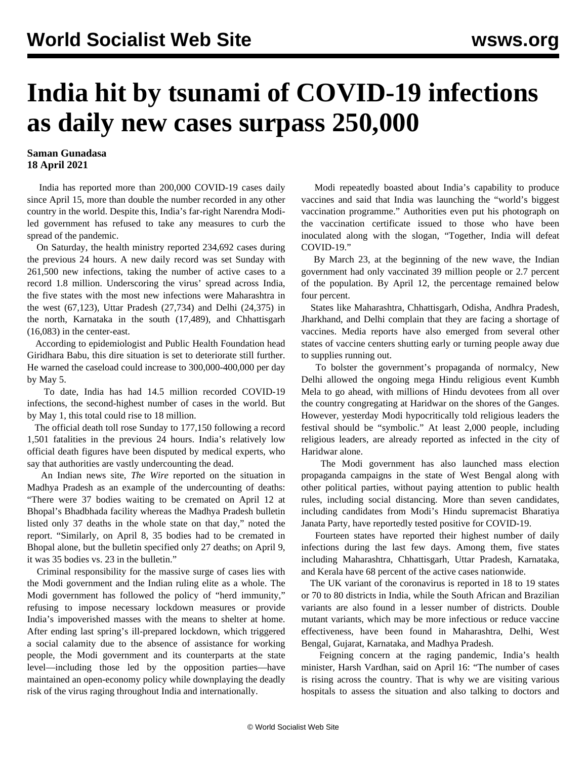## **India hit by tsunami of COVID-19 infections as daily new cases surpass 250,000**

## **Saman Gunadasa 18 April 2021**

 India has reported more than 200,000 COVID-19 cases daily since April 15, more than double the number recorded in any other country in the world. Despite this, India's far-right Narendra Modiled government has refused to take any measures to curb the spread of the pandemic.

 On Saturday, the health ministry reported 234,692 cases during the previous 24 hours. A new daily record was set Sunday with 261,500 new infections, taking the number of active cases to a record 1.8 million. Underscoring the virus' spread across India, the five states with the most new infections were Maharashtra in the west (67,123), Uttar Pradesh (27,734) and Delhi (24,375) in the north, Karnataka in the south (17,489), and Chhattisgarh (16,083) in the center-east.

 According to epidemiologist and Public Health Foundation head Giridhara Babu, this dire situation is set to deteriorate still further. He warned the caseload could increase to 300,000-400,000 per day by May 5.

 To date, India has had 14.5 million recorded COVID-19 infections, the second-highest number of cases in the world. But by May 1, this total could rise to 18 million.

 The official death toll rose Sunday to 177,150 following a record 1,501 fatalities in the previous 24 hours. India's relatively low official death figures have been disputed by medical experts, who say that authorities are vastly undercounting the dead.

 An Indian news site, *The Wire* reported on the situation in Madhya Pradesh as an example of the undercounting of deaths: "There were 37 bodies waiting to be cremated on April 12 at Bhopal's Bhadbhada facility whereas the Madhya Pradesh bulletin listed only 37 deaths in the whole state on that day," noted the report. "Similarly, on April 8, 35 bodies had to be cremated in Bhopal alone, but the bulletin specified only 27 deaths; on April 9, it was 35 bodies vs. 23 in the bulletin."

 Criminal responsibility for the massive surge of cases lies with the Modi government and the Indian ruling elite as a whole. The Modi government has followed the policy of "herd immunity," refusing to impose necessary lockdown measures or provide India's impoverished masses with the means to shelter at home. After ending last spring's ill-prepared lockdown, which triggered a social calamity due to the absence of assistance for working people, the Modi government and its counterparts at the state level—including those led by the opposition parties—have maintained an open-economy policy while downplaying the deadly risk of the virus raging throughout India and internationally.

 Modi repeatedly boasted about India's capability to produce vaccines and said that India was launching the "world's biggest vaccination programme." Authorities even put his photograph on the vaccination certificate issued to those who have been inoculated along with the slogan, "Together, India will defeat COVID-19."

 By March 23, at the beginning of the new wave, the Indian government had only vaccinated 39 million people or 2.7 percent of the population. By April 12, the percentage remained below four percent.

 States like Maharashtra, Chhattisgarh, Odisha, Andhra Pradesh, Jharkhand, and Delhi complain that they are facing a shortage of vaccines. Media reports have also emerged from several other states of vaccine centers shutting early or turning people away due to supplies running out.

 To bolster the government's propaganda of normalcy, New Delhi allowed the ongoing mega Hindu religious event Kumbh Mela to go ahead, with millions of Hindu devotees from all over the country congregating at Haridwar on the shores of the Ganges. However, yesterday Modi hypocritically told religious leaders the festival should be "symbolic." At least 2,000 people, including religious leaders, are already reported as infected in the city of Haridwar alone.

 The Modi government has also launched mass election propaganda campaigns in the state of West Bengal along with other political parties, without paying attention to public health rules, including social distancing. More than seven candidates, including candidates from Modi's Hindu supremacist Bharatiya Janata Party, have reportedly tested positive for COVID-19.

 Fourteen states have reported their highest number of daily infections during the last few days. Among them, five states including Maharashtra, Chhattisgarh, Uttar Pradesh, Karnataka, and Kerala have 68 percent of the active cases nationwide.

 The UK variant of the coronavirus is reported in 18 to 19 states or 70 to 80 districts in India, while the South African and Brazilian variants are also found in a lesser number of districts. Double mutant variants, which may be more infectious or reduce vaccine effectiveness, have been found in Maharashtra, Delhi, West Bengal, Gujarat, Karnataka, and Madhya Pradesh.

 Feigning concern at the raging pandemic, India's health minister, Harsh Vardhan, said on April 16: "The number of cases is rising across the country. That is why we are visiting various hospitals to assess the situation and also talking to doctors and